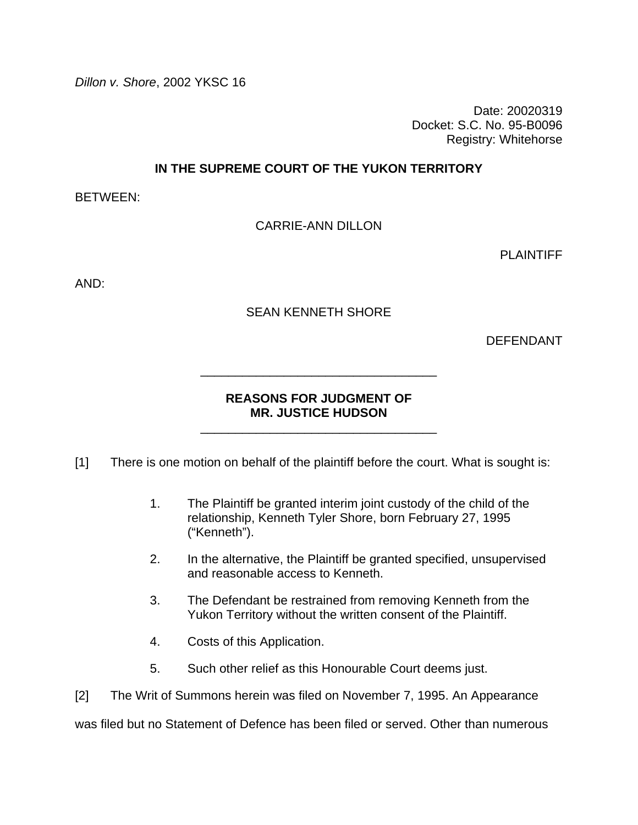*Dillon v. Shore*, 2002 YKSC 16

Date: 20020319 Docket: S.C. No. 95-B0096 Registry: Whitehorse

**IN THE SUPREME COURT OF THE YUKON TERRITORY** 

BETWEEN:

CARRIE-ANN DILLON

PLAINTIFF

AND:

SEAN KENNETH SHORE

DEFENDANT

# **REASONS FOR JUDGMENT OF MR. JUSTICE HUDSON**

\_\_\_\_\_\_\_\_\_\_\_\_\_\_\_\_\_\_\_\_\_\_\_\_\_\_\_\_\_\_\_\_\_\_

\_\_\_\_\_\_\_\_\_\_\_\_\_\_\_\_\_\_\_\_\_\_\_\_\_\_\_\_\_\_\_\_\_\_

[1] There is one motion on behalf of the plaintiff before the court. What is sought is:

- 1. The Plaintiff be granted interim joint custody of the child of the relationship, Kenneth Tyler Shore, born February 27, 1995 ("Kenneth").
- 2. In the alternative, the Plaintiff be granted specified, unsupervised and reasonable access to Kenneth.
- 3. The Defendant be restrained from removing Kenneth from the Yukon Territory without the written consent of the Plaintiff.
- 4. Costs of this Application.
- 5. Such other relief as this Honourable Court deems just.

[2] The Writ of Summons herein was filed on November 7, 1995. An Appearance

was filed but no Statement of Defence has been filed or served. Other than numerous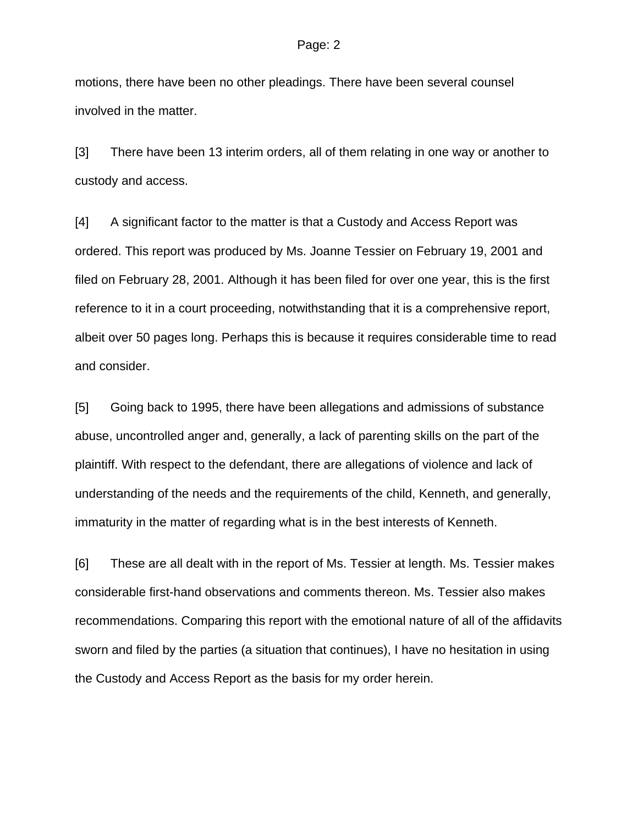#### Page: 2

motions, there have been no other pleadings. There have been several counsel involved in the matter.

[3] There have been 13 interim orders, all of them relating in one way or another to custody and access.

[4] A significant factor to the matter is that a Custody and Access Report was ordered. This report was produced by Ms. Joanne Tessier on February 19, 2001 and filed on February 28, 2001. Although it has been filed for over one year, this is the first reference to it in a court proceeding, notwithstanding that it is a comprehensive report, albeit over 50 pages long. Perhaps this is because it requires considerable time to read and consider.

[5] Going back to 1995, there have been allegations and admissions of substance abuse, uncontrolled anger and, generally, a lack of parenting skills on the part of the plaintiff. With respect to the defendant, there are allegations of violence and lack of understanding of the needs and the requirements of the child, Kenneth, and generally, immaturity in the matter of regarding what is in the best interests of Kenneth.

[6] These are all dealt with in the report of Ms. Tessier at length. Ms. Tessier makes considerable first-hand observations and comments thereon. Ms. Tessier also makes recommendations. Comparing this report with the emotional nature of all of the affidavits sworn and filed by the parties (a situation that continues), I have no hesitation in using the Custody and Access Report as the basis for my order herein.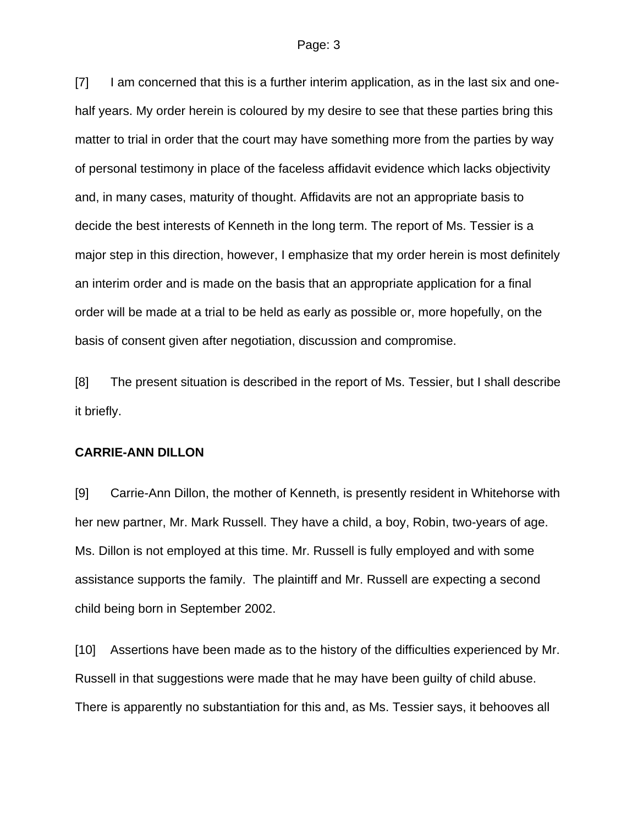#### Page: 3

[7] I am concerned that this is a further interim application, as in the last six and onehalf years. My order herein is coloured by my desire to see that these parties bring this matter to trial in order that the court may have something more from the parties by way of personal testimony in place of the faceless affidavit evidence which lacks objectivity and, in many cases, maturity of thought. Affidavits are not an appropriate basis to decide the best interests of Kenneth in the long term. The report of Ms. Tessier is a major step in this direction, however, I emphasize that my order herein is most definitely an interim order and is made on the basis that an appropriate application for a final order will be made at a trial to be held as early as possible or, more hopefully, on the basis of consent given after negotiation, discussion and compromise.

[8] The present situation is described in the report of Ms. Tessier, but I shall describe it briefly.

### **CARRIE-ANN DILLON**

[9] Carrie-Ann Dillon, the mother of Kenneth, is presently resident in Whitehorse with her new partner, Mr. Mark Russell. They have a child, a boy, Robin, two-years of age. Ms. Dillon is not employed at this time. Mr. Russell is fully employed and with some assistance supports the family. The plaintiff and Mr. Russell are expecting a second child being born in September 2002.

[10] Assertions have been made as to the history of the difficulties experienced by Mr. Russell in that suggestions were made that he may have been guilty of child abuse. There is apparently no substantiation for this and, as Ms. Tessier says, it behooves all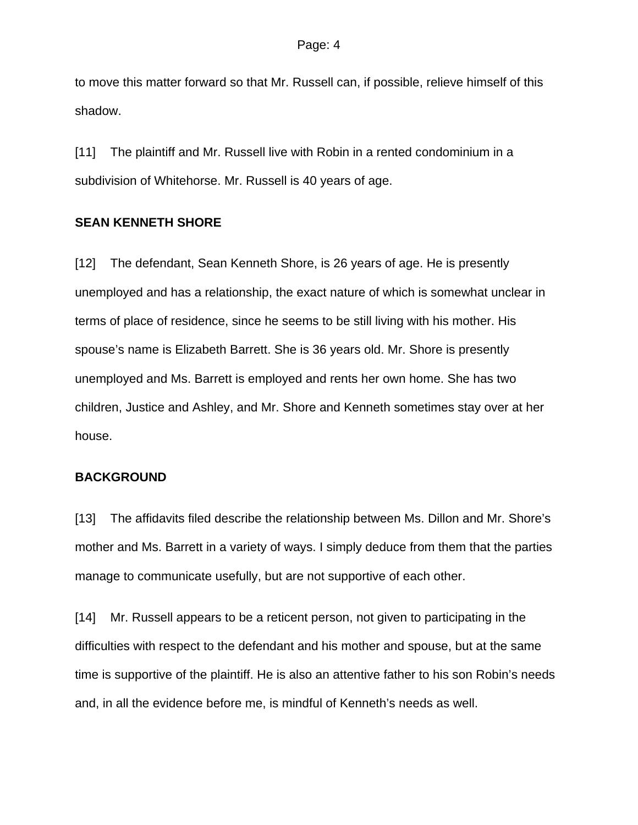to move this matter forward so that Mr. Russell can, if possible, relieve himself of this shadow.

[11] The plaintiff and Mr. Russell live with Robin in a rented condominium in a subdivision of Whitehorse. Mr. Russell is 40 years of age.

### **SEAN KENNETH SHORE**

[12] The defendant, Sean Kenneth Shore, is 26 years of age. He is presently unemployed and has a relationship, the exact nature of which is somewhat unclear in terms of place of residence, since he seems to be still living with his mother. His spouse's name is Elizabeth Barrett. She is 36 years old. Mr. Shore is presently unemployed and Ms. Barrett is employed and rents her own home. She has two children, Justice and Ashley, and Mr. Shore and Kenneth sometimes stay over at her house.

## **BACKGROUND**

[13] The affidavits filed describe the relationship between Ms. Dillon and Mr. Shore's mother and Ms. Barrett in a variety of ways. I simply deduce from them that the parties manage to communicate usefully, but are not supportive of each other.

[14] Mr. Russell appears to be a reticent person, not given to participating in the difficulties with respect to the defendant and his mother and spouse, but at the same time is supportive of the plaintiff. He is also an attentive father to his son Robin's needs and, in all the evidence before me, is mindful of Kenneth's needs as well.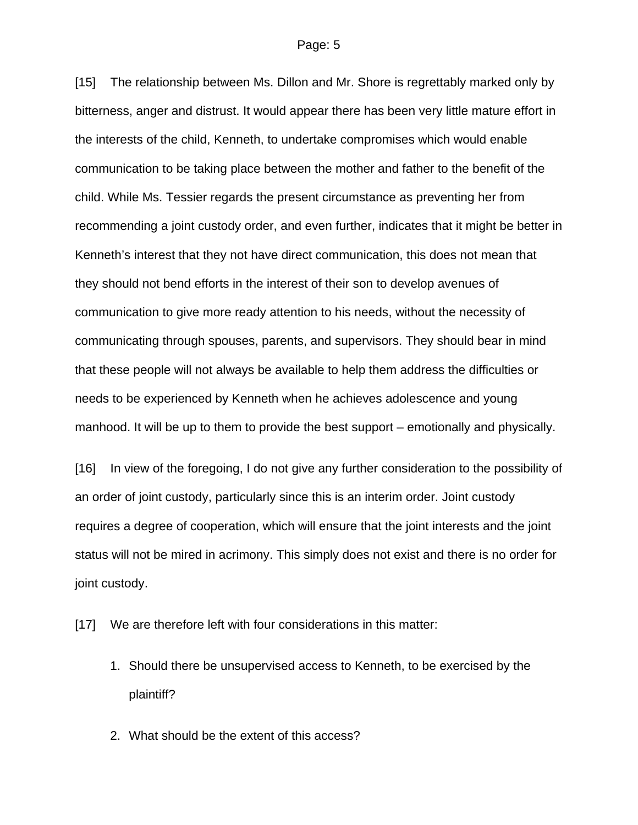[15] The relationship between Ms. Dillon and Mr. Shore is regrettably marked only by bitterness, anger and distrust. It would appear there has been very little mature effort in the interests of the child, Kenneth, to undertake compromises which would enable communication to be taking place between the mother and father to the benefit of the child. While Ms. Tessier regards the present circumstance as preventing her from recommending a joint custody order, and even further, indicates that it might be better in Kenneth's interest that they not have direct communication, this does not mean that they should not bend efforts in the interest of their son to develop avenues of communication to give more ready attention to his needs, without the necessity of communicating through spouses, parents, and supervisors. They should bear in mind that these people will not always be available to help them address the difficulties or needs to be experienced by Kenneth when he achieves adolescence and young manhood. It will be up to them to provide the best support – emotionally and physically.

[16] In view of the foregoing, I do not give any further consideration to the possibility of an order of joint custody, particularly since this is an interim order. Joint custody requires a degree of cooperation, which will ensure that the joint interests and the joint status will not be mired in acrimony. This simply does not exist and there is no order for joint custody.

- [17] We are therefore left with four considerations in this matter:
	- 1. Should there be unsupervised access to Kenneth, to be exercised by the plaintiff?
	- 2. What should be the extent of this access?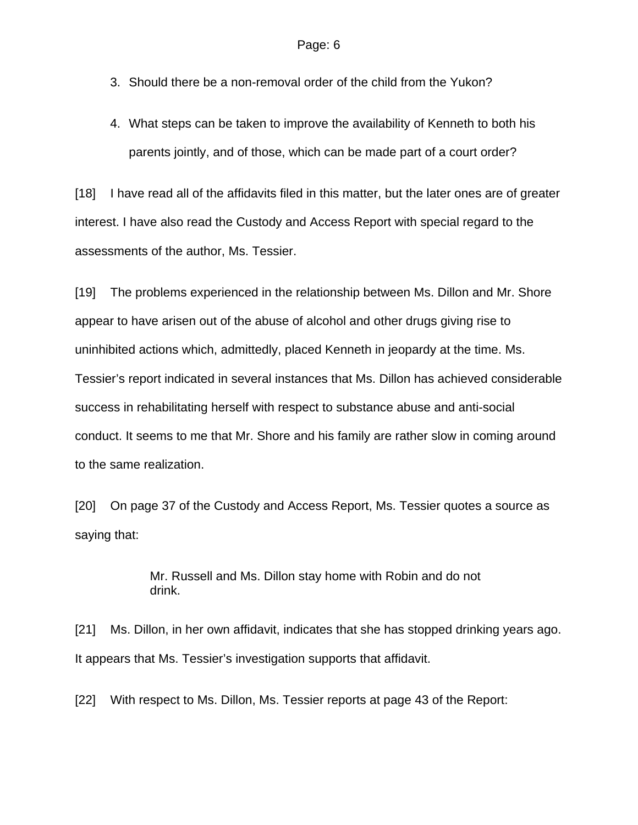- 3. Should there be a non-removal order of the child from the Yukon?
- 4. What steps can be taken to improve the availability of Kenneth to both his parents jointly, and of those, which can be made part of a court order?

[18] I have read all of the affidavits filed in this matter, but the later ones are of greater interest. I have also read the Custody and Access Report with special regard to the assessments of the author, Ms. Tessier.

[19] The problems experienced in the relationship between Ms. Dillon and Mr. Shore appear to have arisen out of the abuse of alcohol and other drugs giving rise to uninhibited actions which, admittedly, placed Kenneth in jeopardy at the time. Ms. Tessier's report indicated in several instances that Ms. Dillon has achieved considerable success in rehabilitating herself with respect to substance abuse and anti-social conduct. It seems to me that Mr. Shore and his family are rather slow in coming around to the same realization.

[20] On page 37 of the Custody and Access Report, Ms. Tessier quotes a source as saying that:

> Mr. Russell and Ms. Dillon stay home with Robin and do not drink.

[21] Ms. Dillon, in her own affidavit, indicates that she has stopped drinking years ago. It appears that Ms. Tessier's investigation supports that affidavit.

[22] With respect to Ms. Dillon, Ms. Tessier reports at page 43 of the Report: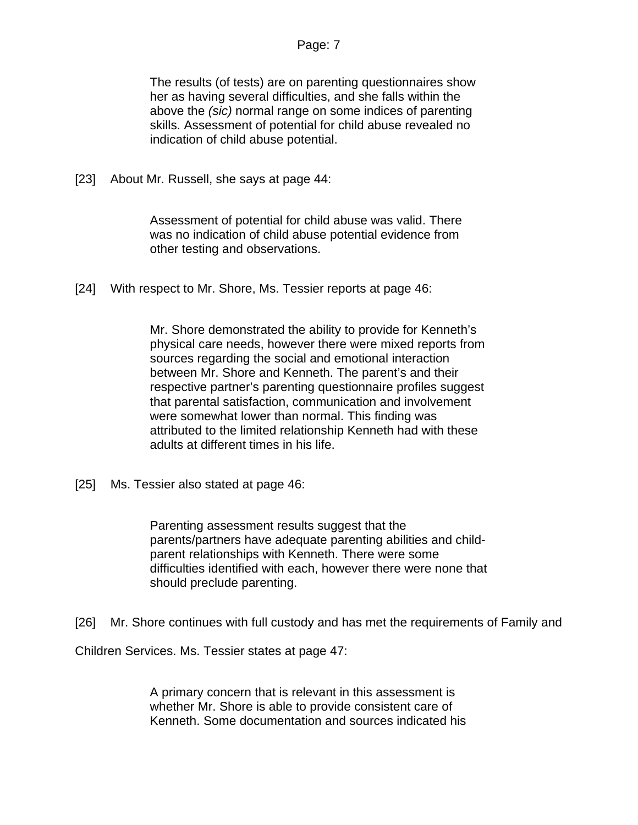# Page: 7

The results (of tests) are on parenting questionnaires show her as having several difficulties, and she falls within the above the *(sic)* normal range on some indices of parenting skills. Assessment of potential for child abuse revealed no indication of child abuse potential.

[23] About Mr. Russell, she says at page 44:

Assessment of potential for child abuse was valid. There was no indication of child abuse potential evidence from other testing and observations.

[24] With respect to Mr. Shore, Ms. Tessier reports at page 46:

Mr. Shore demonstrated the ability to provide for Kenneth's physical care needs, however there were mixed reports from sources regarding the social and emotional interaction between Mr. Shore and Kenneth. The parent's and their respective partner's parenting questionnaire profiles suggest that parental satisfaction, communication and involvement were somewhat lower than normal. This finding was attributed to the limited relationship Kenneth had with these adults at different times in his life.

[25] Ms. Tessier also stated at page 46:

Parenting assessment results suggest that the parents/partners have adequate parenting abilities and childparent relationships with Kenneth. There were some difficulties identified with each, however there were none that should preclude parenting.

[26] Mr. Shore continues with full custody and has met the requirements of Family and

Children Services. Ms. Tessier states at page 47:

A primary concern that is relevant in this assessment is whether Mr. Shore is able to provide consistent care of Kenneth. Some documentation and sources indicated his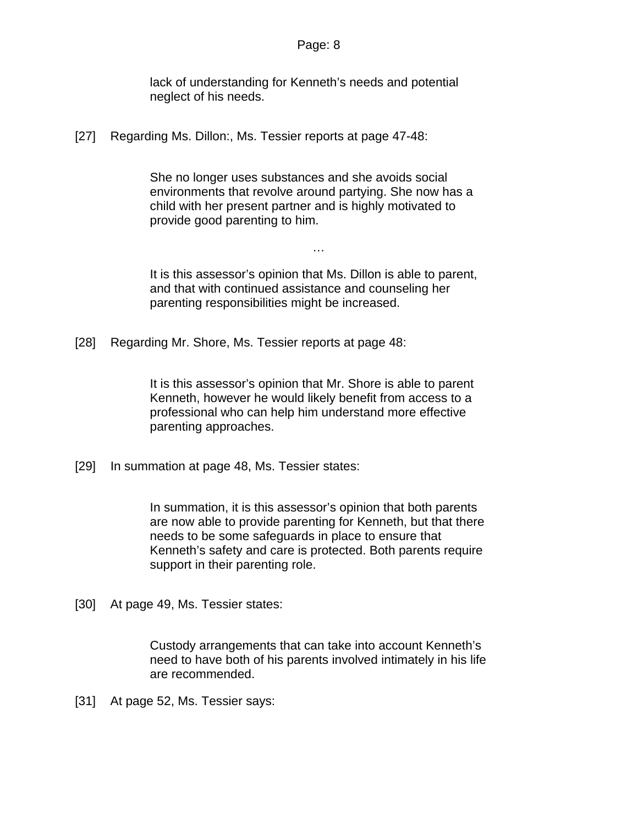lack of understanding for Kenneth's needs and potential neglect of his needs.

[27] Regarding Ms. Dillon:, Ms. Tessier reports at page 47-48:

She no longer uses substances and she avoids social environments that revolve around partying. She now has a child with her present partner and is highly motivated to provide good parenting to him.

It is this assessor's opinion that Ms. Dillon is able to parent, and that with continued assistance and counseling her parenting responsibilities might be increased.

…

[28] Regarding Mr. Shore, Ms. Tessier reports at page 48:

It is this assessor's opinion that Mr. Shore is able to parent Kenneth, however he would likely benefit from access to a professional who can help him understand more effective parenting approaches.

[29] In summation at page 48, Ms. Tessier states:

In summation, it is this assessor's opinion that both parents are now able to provide parenting for Kenneth, but that there needs to be some safeguards in place to ensure that Kenneth's safety and care is protected. Both parents require support in their parenting role.

[30] At page 49, Ms. Tessier states:

Custody arrangements that can take into account Kenneth's need to have both of his parents involved intimately in his life are recommended.

[31] At page 52, Ms. Tessier says: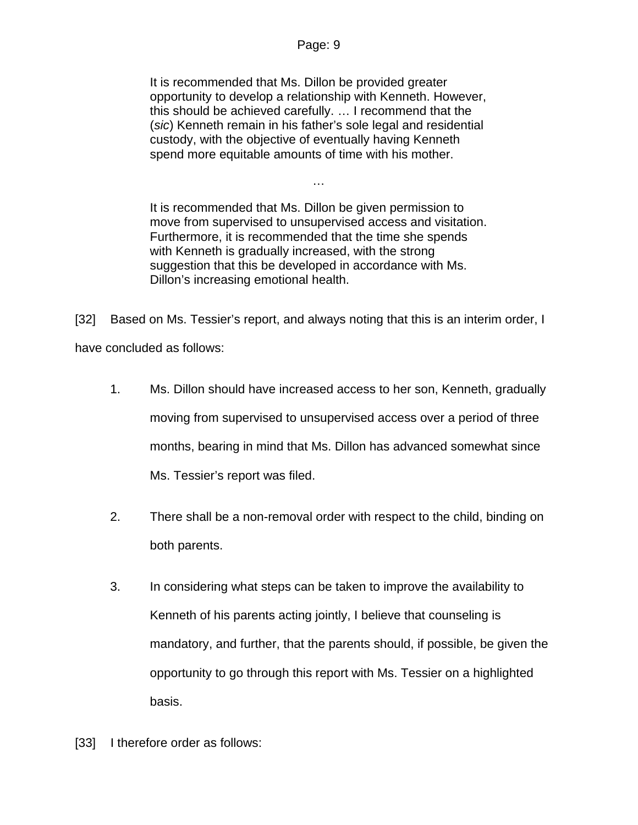It is recommended that Ms. Dillon be provided greater opportunity to develop a relationship with Kenneth. However, this should be achieved carefully. … I recommend that the (*sic*) Kenneth remain in his father's sole legal and residential custody, with the objective of eventually having Kenneth spend more equitable amounts of time with his mother.

It is recommended that Ms. Dillon be given permission to move from supervised to unsupervised access and visitation. Furthermore, it is recommended that the time she spends with Kenneth is gradually increased, with the strong suggestion that this be developed in accordance with Ms. Dillon's increasing emotional health.

…

[32] Based on Ms. Tessier's report, and always noting that this is an interim order, I have concluded as follows:

- 1. Ms. Dillon should have increased access to her son, Kenneth, gradually moving from supervised to unsupervised access over a period of three months, bearing in mind that Ms. Dillon has advanced somewhat since Ms. Tessier's report was filed.
- 2. There shall be a non-removal order with respect to the child, binding on both parents.
- 3. In considering what steps can be taken to improve the availability to Kenneth of his parents acting jointly, I believe that counseling is mandatory, and further, that the parents should, if possible, be given the opportunity to go through this report with Ms. Tessier on a highlighted basis.
- [33] I therefore order as follows: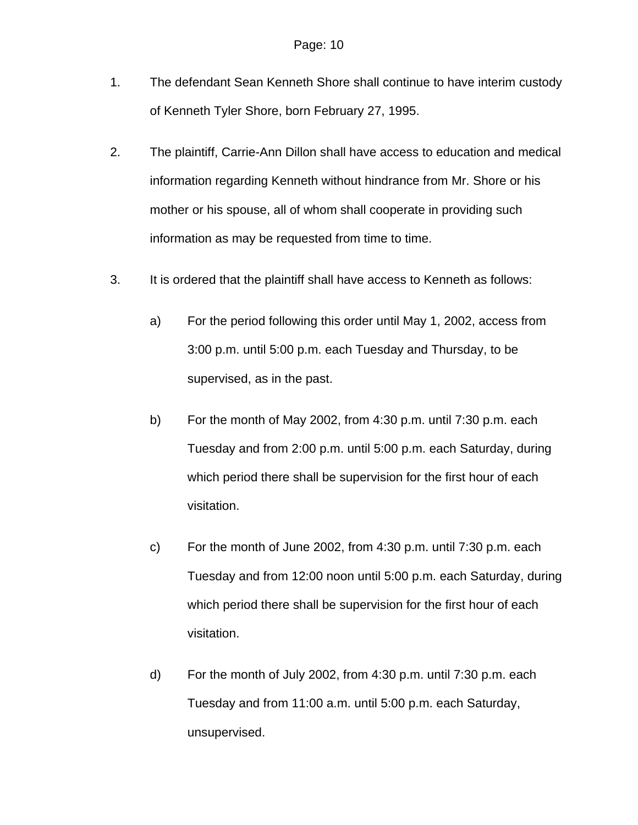- 1. The defendant Sean Kenneth Shore shall continue to have interim custody of Kenneth Tyler Shore, born February 27, 1995.
- 2. The plaintiff, Carrie-Ann Dillon shall have access to education and medical information regarding Kenneth without hindrance from Mr. Shore or his mother or his spouse, all of whom shall cooperate in providing such information as may be requested from time to time.
- 3. It is ordered that the plaintiff shall have access to Kenneth as follows:
	- a) For the period following this order until May 1, 2002, access from 3:00 p.m. until 5:00 p.m. each Tuesday and Thursday, to be supervised, as in the past.
	- b) For the month of May 2002, from 4:30 p.m. until 7:30 p.m. each Tuesday and from 2:00 p.m. until 5:00 p.m. each Saturday, during which period there shall be supervision for the first hour of each visitation.
	- c) For the month of June 2002, from 4:30 p.m. until 7:30 p.m. each Tuesday and from 12:00 noon until 5:00 p.m. each Saturday, during which period there shall be supervision for the first hour of each visitation.
	- d) For the month of July 2002, from 4:30 p.m. until 7:30 p.m. each Tuesday and from 11:00 a.m. until 5:00 p.m. each Saturday, unsupervised.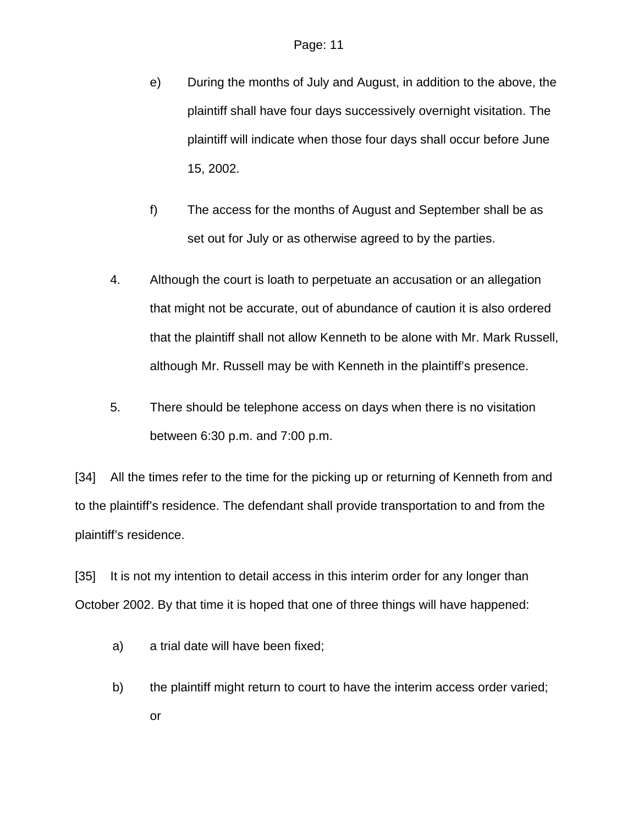- e) During the months of July and August, in addition to the above, the plaintiff shall have four days successively overnight visitation. The plaintiff will indicate when those four days shall occur before June 15, 2002.
- f) The access for the months of August and September shall be as set out for July or as otherwise agreed to by the parties.
- 4. Although the court is loath to perpetuate an accusation or an allegation that might not be accurate, out of abundance of caution it is also ordered that the plaintiff shall not allow Kenneth to be alone with Mr. Mark Russell, although Mr. Russell may be with Kenneth in the plaintiff's presence.
- 5. There should be telephone access on days when there is no visitation between 6:30 p.m. and 7:00 p.m.

[34] All the times refer to the time for the picking up or returning of Kenneth from and to the plaintiff's residence. The defendant shall provide transportation to and from the plaintiff's residence.

[35] It is not my intention to detail access in this interim order for any longer than October 2002. By that time it is hoped that one of three things will have happened:

- a) a trial date will have been fixed;
- b) the plaintiff might return to court to have the interim access order varied; or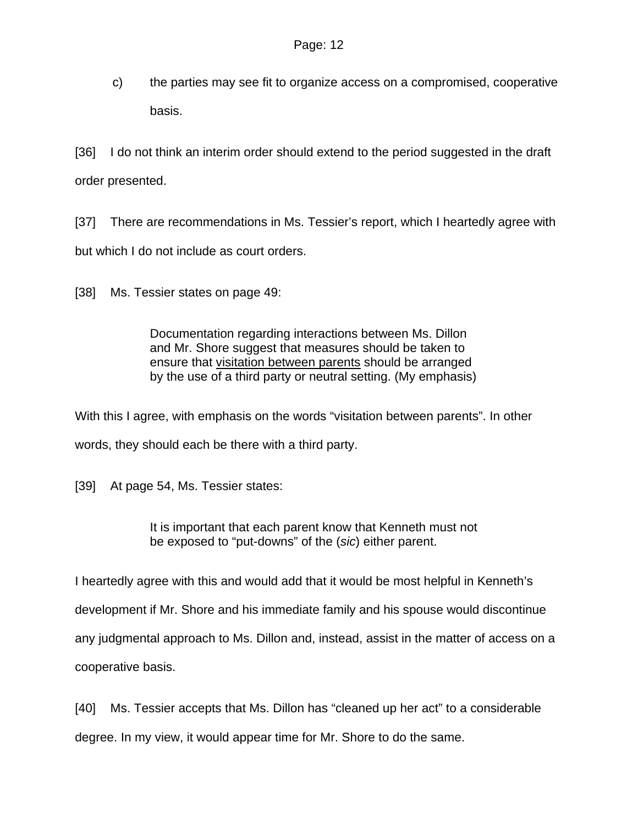c) the parties may see fit to organize access on a compromised, cooperative basis.

[36] I do not think an interim order should extend to the period suggested in the draft order presented.

[37] There are recommendations in Ms. Tessier's report, which I heartedly agree with but which I do not include as court orders.

[38] Ms. Tessier states on page 49:

Documentation regarding interactions between Ms. Dillon and Mr. Shore suggest that measures should be taken to ensure that visitation between parents should be arranged by the use of a third party or neutral setting. (My emphasis)

With this I agree, with emphasis on the words "visitation between parents". In other words, they should each be there with a third party.

[39] At page 54, Ms. Tessier states:

It is important that each parent know that Kenneth must not be exposed to "put-downs" of the (*sic*) either parent.

I heartedly agree with this and would add that it would be most helpful in Kenneth's

development if Mr. Shore and his immediate family and his spouse would discontinue

any judgmental approach to Ms. Dillon and, instead, assist in the matter of access on a

cooperative basis.

[40] Ms. Tessier accepts that Ms. Dillon has "cleaned up her act" to a considerable degree. In my view, it would appear time for Mr. Shore to do the same.